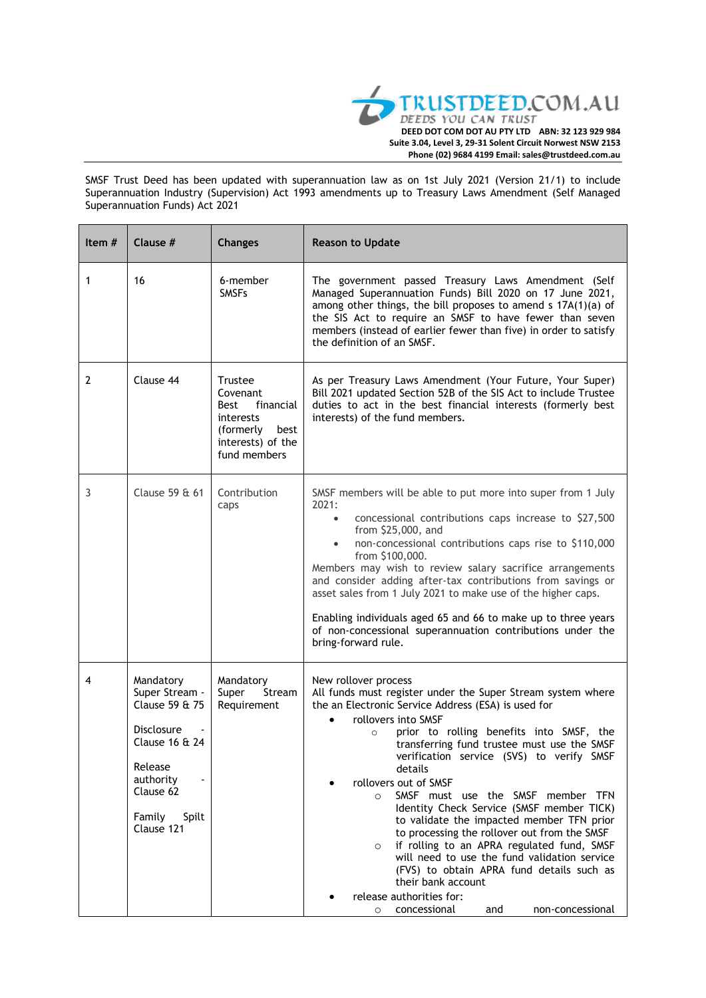

SMSF Trust Deed has been updated with superannuation law as on 1st July 2021 (Version 21/1) to include Superannuation Industry (Supervision) Act 1993 amendments up to Treasury Laws Amendment (Self Managed Superannuation Funds) Act 2021

| Item $#$     | Clause #                                                                                                                                                | <b>Changes</b>                                                                                                      | <b>Reason to Update</b>                                                                                                                                                                                                                                                                                                                                                                                                                                                                                                                                                                                                                                                                                                                                                                                           |
|--------------|---------------------------------------------------------------------------------------------------------------------------------------------------------|---------------------------------------------------------------------------------------------------------------------|-------------------------------------------------------------------------------------------------------------------------------------------------------------------------------------------------------------------------------------------------------------------------------------------------------------------------------------------------------------------------------------------------------------------------------------------------------------------------------------------------------------------------------------------------------------------------------------------------------------------------------------------------------------------------------------------------------------------------------------------------------------------------------------------------------------------|
| 1            | 16                                                                                                                                                      | 6-member<br><b>SMSFs</b>                                                                                            | The government passed Treasury Laws Amendment (Self<br>Managed Superannuation Funds) Bill 2020 on 17 June 2021,<br>among other things, the bill proposes to amend s 17A(1)(a) of<br>the SIS Act to require an SMSF to have fewer than seven<br>members (instead of earlier fewer than five) in order to satisfy<br>the definition of an SMSF.                                                                                                                                                                                                                                                                                                                                                                                                                                                                     |
| $\mathbf{2}$ | Clause 44                                                                                                                                               | <b>Trustee</b><br>Covenant<br>financial<br>Best<br>interests<br>(formerly best<br>interests) of the<br>fund members | As per Treasury Laws Amendment (Your Future, Your Super)<br>Bill 2021 updated Section 52B of the SIS Act to include Trustee<br>duties to act in the best financial interests (formerly best<br>interests) of the fund members.                                                                                                                                                                                                                                                                                                                                                                                                                                                                                                                                                                                    |
| 3            | Clause 59 & 61                                                                                                                                          | Contribution<br>caps                                                                                                | SMSF members will be able to put more into super from 1 July<br>2021:<br>concessional contributions caps increase to \$27,500<br>$\bullet$<br>from \$25,000, and<br>non-concessional contributions caps rise to \$110,000<br>$\bullet$<br>from \$100,000.<br>Members may wish to review salary sacrifice arrangements<br>and consider adding after-tax contributions from savings or<br>asset sales from 1 July 2021 to make use of the higher caps.<br>Enabling individuals aged 65 and 66 to make up to three years<br>of non-concessional superannuation contributions under the<br>bring-forward rule.                                                                                                                                                                                                        |
| 4            | Mandatory<br>Super Stream -<br>Clause 59 & 75<br><b>Disclosure</b><br>Clause 16 & 24<br>Release<br>authority<br>Clause 62<br>Family Spilt<br>Clause 121 | Mandatory<br>Super<br>Stream<br>Requirement                                                                         | New rollover process<br>All funds must register under the Super Stream system where<br>the an Electronic Service Address (ESA) is used for<br>rollovers into SMSF<br>prior to rolling benefits into SMSF, the<br>$\circ$<br>transferring fund trustee must use the SMSF<br>verification service (SVS) to verify SMSF<br>details<br>rollovers out of SMSF<br>SMSF must use the SMSF member TFN<br>$\Omega$<br>Identity Check Service (SMSF member TICK)<br>to validate the impacted member TFN prior<br>to processing the rollover out from the SMSF<br>if rolling to an APRA regulated fund, SMSF<br>$\circ$<br>will need to use the fund validation service<br>(FVS) to obtain APRA fund details such as<br>their bank account<br>release authorities for:<br>concessional<br>and<br>non-concessional<br>$\circ$ |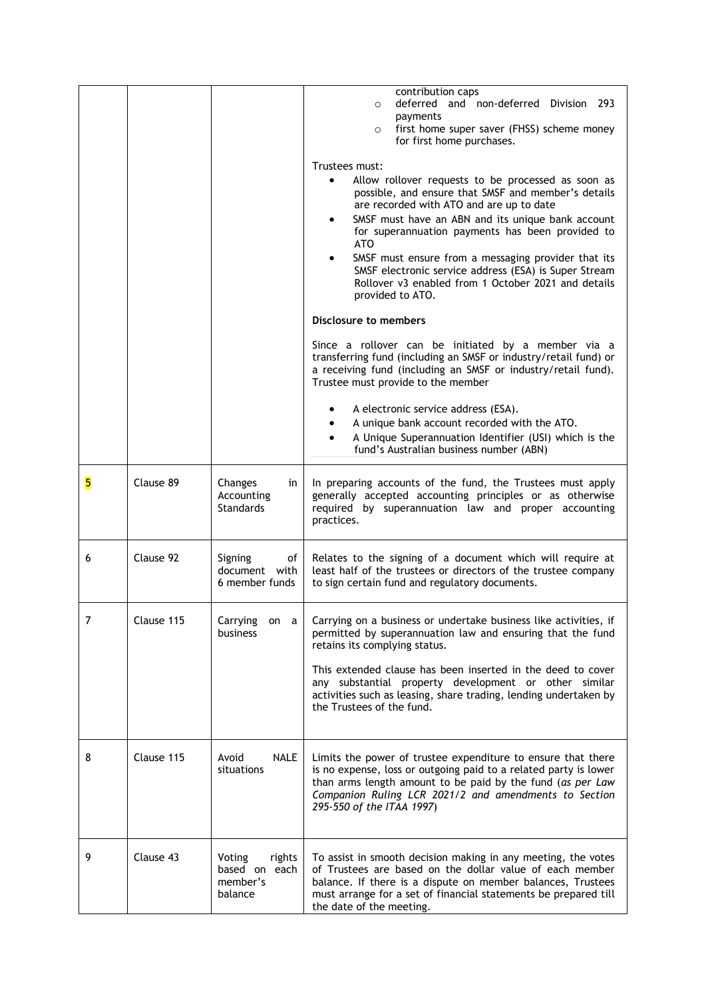|   |            |                                                          | contribution caps<br>deferred and non-deferred Division 293<br>$\circ$<br>payments<br>first home super saver (FHSS) scheme money<br>$\circ$<br>for first home purchases.                                                                                                                                                                                                                                                                                                                                                         |
|---|------------|----------------------------------------------------------|----------------------------------------------------------------------------------------------------------------------------------------------------------------------------------------------------------------------------------------------------------------------------------------------------------------------------------------------------------------------------------------------------------------------------------------------------------------------------------------------------------------------------------|
|   |            |                                                          | Trustees must:<br>Allow rollover requests to be processed as soon as<br>$\bullet$<br>possible, and ensure that SMSF and member's details<br>are recorded with ATO and are up to date<br>SMSF must have an ABN and its unique bank account<br>$\bullet$<br>for superannuation payments has been provided to<br><b>ATO</b><br>SMSF must ensure from a messaging provider that its<br>$\bullet$<br>SMSF electronic service address (ESA) is Super Stream<br>Rollover v3 enabled from 1 October 2021 and details<br>provided to ATO. |
|   |            |                                                          | Disclosure to members<br>Since a rollover can be initiated by a member via a<br>transferring fund (including an SMSF or industry/retail fund) or<br>a receiving fund (including an SMSF or industry/retail fund).<br>Trustee must provide to the member                                                                                                                                                                                                                                                                          |
|   |            |                                                          | A electronic service address (ESA).<br>A unique bank account recorded with the ATO.<br>A Unique Superannuation Identifier (USI) which is the<br>$\bullet$<br>fund's Australian business number (ABN)                                                                                                                                                                                                                                                                                                                             |
| 5 | Clause 89  | Changes<br>in<br>Accounting<br><b>Standards</b>          | In preparing accounts of the fund, the Trustees must apply<br>generally accepted accounting principles or as otherwise<br>required by superannuation law and proper accounting<br>practices.                                                                                                                                                                                                                                                                                                                                     |
| 6 | Clause 92  | Signing<br>of<br>document with<br>6 member funds         | Relates to the signing of a document which will require at<br>least half of the trustees or directors of the trustee company<br>to sign certain fund and regulatory documents.                                                                                                                                                                                                                                                                                                                                                   |
| 7 | Clause 115 | Carrying<br>on a<br>business                             | Carrying on a business or undertake business like activities, if<br>permitted by superannuation law and ensuring that the fund<br>retains its complying status.<br>This extended clause has been inserted in the deed to cover<br>any substantial property development or other similar<br>activities such as leasing, share trading, lending undertaken by<br>the Trustees of the fund.                                                                                                                                         |
| 8 | Clause 115 | Avoid<br><b>NALE</b><br>situations                       | Limits the power of trustee expenditure to ensure that there<br>is no expense, loss or outgoing paid to a related party is lower<br>than arms length amount to be paid by the fund (as per Law<br>Companion Ruling LCR 2021/2 and amendments to Section<br>295-550 of the ITAA 1997)                                                                                                                                                                                                                                             |
| 9 | Clause 43  | Voting<br>rights<br>based on each<br>member's<br>balance | To assist in smooth decision making in any meeting, the votes<br>of Trustees are based on the dollar value of each member<br>balance. If there is a dispute on member balances, Trustees<br>must arrange for a set of financial statements be prepared till<br>the date of the meeting.                                                                                                                                                                                                                                          |